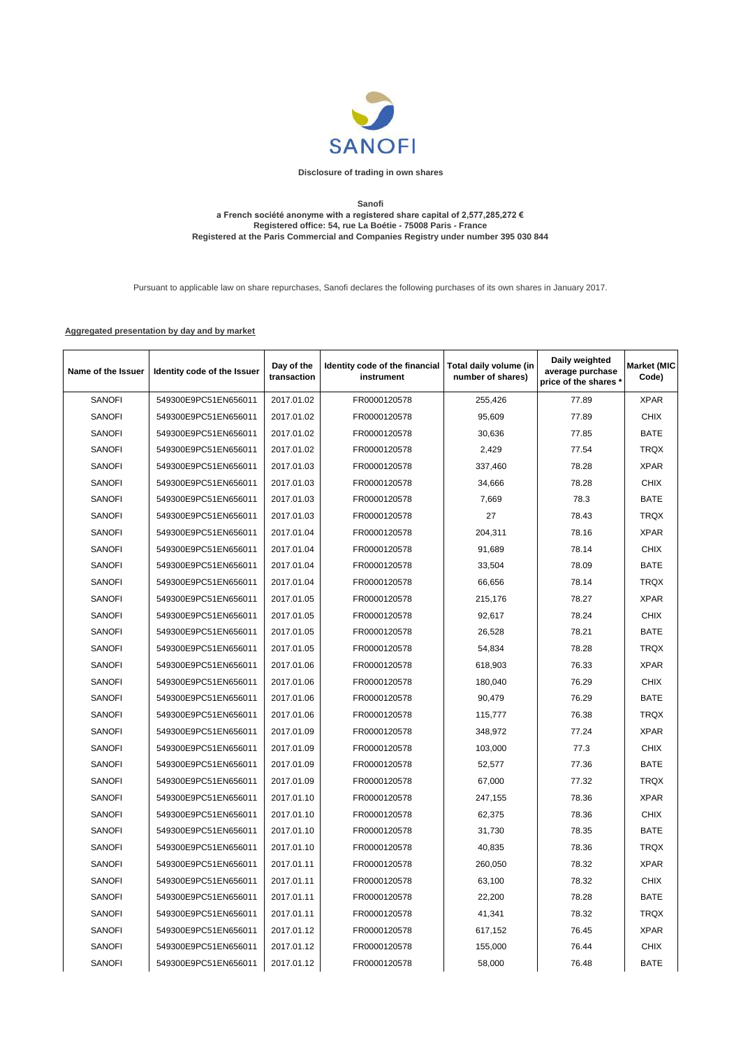

**Disclosure of trading in own shares**

## **Sanofi a French société anonyme with a registered share capital of 2,577,285,272 € Registered office: 54, rue La Boétie - 75008 Paris - France Registered at the Paris Commercial and Companies Registry under number 395 030 844**

Pursuant to applicable law on share repurchases, Sanofi declares the following purchases of its own shares in January 2017.

## **Aggregated presentation by day and by market**

| Name of the Issuer | Identity code of the Issuer | Day of the<br>transaction | Identity code of the financial<br>instrument | Total daily volume (in<br>number of shares) | Daily weighted<br>average purchase<br>price of the shares * | <b>Market (MIC</b><br>Code) |
|--------------------|-----------------------------|---------------------------|----------------------------------------------|---------------------------------------------|-------------------------------------------------------------|-----------------------------|
| <b>SANOFI</b>      | 549300E9PC51EN656011        | 2017.01.02                | FR0000120578                                 | 255,426                                     | 77.89                                                       | <b>XPAR</b>                 |
| <b>SANOFI</b>      | 549300E9PC51EN656011        | 2017.01.02                | FR0000120578                                 | 95,609                                      | 77.89                                                       | <b>CHIX</b>                 |
| <b>SANOFI</b>      | 549300E9PC51EN656011        | 2017.01.02                | FR0000120578                                 | 30,636                                      | 77.85                                                       | <b>BATE</b>                 |
| <b>SANOFI</b>      | 549300E9PC51EN656011        | 2017.01.02                | FR0000120578                                 | 2,429                                       | 77.54                                                       | <b>TRQX</b>                 |
| <b>SANOFI</b>      | 549300E9PC51EN656011        | 2017.01.03                | FR0000120578                                 | 337,460                                     | 78.28                                                       | <b>XPAR</b>                 |
| <b>SANOFI</b>      | 549300E9PC51EN656011        | 2017.01.03                | FR0000120578                                 | 34,666                                      | 78.28                                                       | <b>CHIX</b>                 |
| <b>SANOFI</b>      | 549300E9PC51EN656011        | 2017.01.03                | FR0000120578                                 | 7,669                                       | 78.3                                                        | <b>BATE</b>                 |
| <b>SANOFI</b>      | 549300E9PC51EN656011        | 2017.01.03                | FR0000120578                                 | 27                                          | 78.43                                                       | <b>TRQX</b>                 |
| <b>SANOFI</b>      | 549300E9PC51EN656011        | 2017.01.04                | FR0000120578                                 | 204,311                                     | 78.16                                                       | <b>XPAR</b>                 |
| <b>SANOFI</b>      | 549300E9PC51EN656011        | 2017.01.04                | FR0000120578                                 | 91,689                                      | 78.14                                                       | <b>CHIX</b>                 |
| <b>SANOFI</b>      | 549300E9PC51EN656011        | 2017.01.04                | FR0000120578                                 | 33,504                                      | 78.09                                                       | <b>BATE</b>                 |
| <b>SANOFI</b>      | 549300E9PC51EN656011        | 2017.01.04                | FR0000120578                                 | 66,656                                      | 78.14                                                       | <b>TRQX</b>                 |
| <b>SANOFI</b>      | 549300E9PC51EN656011        | 2017.01.05                | FR0000120578                                 | 215,176                                     | 78.27                                                       | <b>XPAR</b>                 |
| <b>SANOFI</b>      | 549300E9PC51EN656011        | 2017.01.05                | FR0000120578                                 | 92,617                                      | 78.24                                                       | <b>CHIX</b>                 |
| <b>SANOFI</b>      | 549300E9PC51EN656011        | 2017.01.05                | FR0000120578                                 | 26,528                                      | 78.21                                                       | <b>BATE</b>                 |
| <b>SANOFI</b>      | 549300E9PC51EN656011        | 2017.01.05                | FR0000120578                                 | 54,834                                      | 78.28                                                       | <b>TRQX</b>                 |
| <b>SANOFI</b>      | 549300E9PC51EN656011        | 2017.01.06                | FR0000120578                                 | 618,903                                     | 76.33                                                       | <b>XPAR</b>                 |
| <b>SANOFI</b>      | 549300E9PC51EN656011        | 2017.01.06                | FR0000120578                                 | 180,040                                     | 76.29                                                       | <b>CHIX</b>                 |
| <b>SANOFI</b>      | 549300E9PC51EN656011        | 2017.01.06                | FR0000120578                                 | 90,479                                      | 76.29                                                       | <b>BATE</b>                 |
| <b>SANOFI</b>      | 549300E9PC51EN656011        | 2017.01.06                | FR0000120578                                 | 115,777                                     | 76.38                                                       | <b>TRQX</b>                 |
| <b>SANOFI</b>      | 549300E9PC51EN656011        | 2017.01.09                | FR0000120578                                 | 348,972                                     | 77.24                                                       | <b>XPAR</b>                 |
| <b>SANOFI</b>      | 549300E9PC51EN656011        | 2017.01.09                | FR0000120578                                 | 103,000                                     | 77.3                                                        | <b>CHIX</b>                 |
| <b>SANOFI</b>      | 549300E9PC51EN656011        | 2017.01.09                | FR0000120578                                 | 52,577                                      | 77.36                                                       | <b>BATE</b>                 |
| <b>SANOFI</b>      | 549300E9PC51EN656011        | 2017.01.09                | FR0000120578                                 | 67,000                                      | 77.32                                                       | <b>TRQX</b>                 |
| <b>SANOFI</b>      | 549300E9PC51EN656011        | 2017.01.10                | FR0000120578                                 | 247,155                                     | 78.36                                                       | <b>XPAR</b>                 |
| <b>SANOFI</b>      | 549300E9PC51EN656011        | 2017.01.10                | FR0000120578                                 | 62,375                                      | 78.36                                                       | <b>CHIX</b>                 |
| <b>SANOFI</b>      | 549300E9PC51EN656011        | 2017.01.10                | FR0000120578                                 | 31,730                                      | 78.35                                                       | <b>BATE</b>                 |
| <b>SANOFI</b>      | 549300E9PC51EN656011        | 2017.01.10                | FR0000120578                                 | 40,835                                      | 78.36                                                       | <b>TRQX</b>                 |
| <b>SANOFI</b>      | 549300E9PC51EN656011        | 2017.01.11                | FR0000120578                                 | 260,050                                     | 78.32                                                       | <b>XPAR</b>                 |
| <b>SANOFI</b>      | 549300E9PC51EN656011        | 2017.01.11                | FR0000120578                                 | 63,100                                      | 78.32                                                       | <b>CHIX</b>                 |
| <b>SANOFI</b>      | 549300E9PC51EN656011        | 2017.01.11                | FR0000120578                                 | 22,200                                      | 78.28                                                       | <b>BATE</b>                 |
| <b>SANOFI</b>      | 549300E9PC51EN656011        | 2017.01.11                | FR0000120578                                 | 41,341                                      | 78.32                                                       | <b>TRQX</b>                 |
| <b>SANOFI</b>      | 549300E9PC51EN656011        | 2017.01.12                | FR0000120578                                 | 617,152                                     | 76.45                                                       | <b>XPAR</b>                 |
| <b>SANOFI</b>      | 549300E9PC51EN656011        | 2017.01.12                | FR0000120578                                 | 155,000                                     | 76.44                                                       | <b>CHIX</b>                 |
| <b>SANOFI</b>      | 549300E9PC51EN656011        | 2017.01.12                | FR0000120578                                 | 58,000                                      | 76.48                                                       | <b>BATE</b>                 |